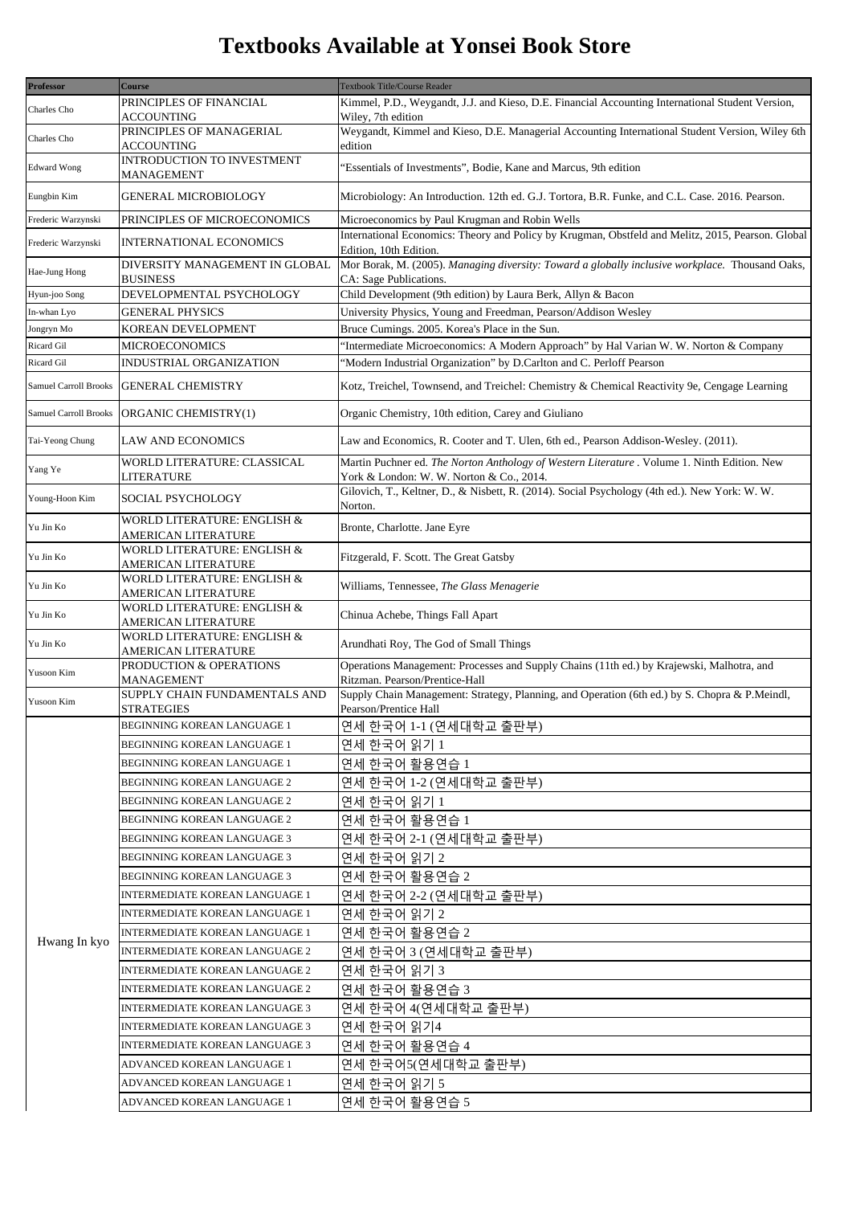## **Textbooks Available at Yonsei Book Store**

| Kimmel, P.D., Weygandt, J.J. and Kieso, D.E. Financial Accounting International Student Version,<br>PRINCIPLES OF FINANCIAL<br>Charles Cho<br>ACCOUNTING<br>Wiley, 7th edition<br>Weygandt, Kimmel and Kieso, D.E. Managerial Accounting International Student Version, Wiley 6th<br>PRINCIPLES OF MANAGERIAL<br>Charles Cho<br>edition<br>ACCOUNTING<br>INTRODUCTION TO INVESTMENT<br><b>Edward Wong</b><br>'Essentials of Investments", Bodie, Kane and Marcus, 9th edition<br><b>MANAGEMENT</b><br>Eungbin Kim<br>Microbiology: An Introduction. 12th ed. G.J. Tortora, B.R. Funke, and C.L. Case. 2016. Pearson.<br>GENERAL MICROBIOLOGY<br>Microeconomics by Paul Krugman and Robin Wells<br>Frederic Warzynski<br>PRINCIPLES OF MICROECONOMICS<br>International Economics: Theory and Policy by Krugman, Obstfeld and Melitz, 2015, Pearson. Global<br>Frederic Warzynski<br><b>INTERNATIONAL ECONOMICS</b><br>Edition, 10th Edition.<br>Mor Borak, M. (2005). Managing diversity: Toward a globally inclusive workplace. Thousand Oaks,<br>DIVERSITY MANAGEMENT IN GLOBAL<br>Hae-Jung Hong<br><b>BUSINESS</b><br>CA: Sage Publications.<br>DEVELOPMENTAL PSYCHOLOGY<br>Child Development (9th edition) by Laura Berk, Allyn & Bacon<br>Hyun-joo Song<br><b>GENERAL PHYSICS</b><br>University Physics, Young and Freedman, Pearson/Addison Wesley<br>In-whan Lyo<br>Bruce Cumings. 2005. Korea's Place in the Sun.<br>Jongryn Mo<br>KOREAN DEVELOPMENT<br><b>MICROECONOMICS</b><br>'Intermediate Microeconomics: A Modern Approach" by Hal Varian W. W. Norton & Company<br>Ricard Gil<br>"Modern Industrial Organization" by D.Carlton and C. Perloff Pearson<br>INDUSTRIAL ORGANIZATION<br>Ricard Gil<br><b>GENERAL CHEMISTRY</b><br>Kotz, Treichel, Townsend, and Treichel: Chemistry & Chemical Reactivity 9e, Cengage Learning<br>Samuel Carroll Brooks<br>Organic Chemistry, 10th edition, Carey and Giuliano<br><b>Samuel Carroll Brooks</b><br>ORGANIC CHEMISTRY(1)<br>Tai-Yeong Chung<br><b>LAW AND ECONOMICS</b><br>Law and Economics, R. Cooter and T. Ulen, 6th ed., Pearson Addison-Wesley. (2011).<br>Martin Puchner ed. The Norton Anthology of Western Literature . Volume 1. Ninth Edition. New<br>WORLD LITERATURE: CLASSICAL<br>Yang Ye<br>LITERATURE<br>York & London: W. W. Norton & Co., 2014.<br>Gilovich, T., Keltner, D., & Nisbett, R. (2014). Social Psychology (4th ed.). New York: W. W.<br>SOCIAL PSYCHOLOGY<br>Young-Hoon Kim<br>Norton.<br>WORLD LITERATURE: ENGLISH &<br>Bronte, Charlotte. Jane Eyre<br>Yu Jin Ko<br>AMERICAN LITERATURE<br>WORLD LITERATURE: ENGLISH &<br>Fitzgerald, F. Scott. The Great Gatsby<br>Yu Jin Ko<br>AMERICAN LITERATURE<br>WORLD LITERATURE: ENGLISH &<br>Williams, Tennessee, The Glass Menagerie<br>Yu Jin Ko<br>AMERICAN LITERATURE<br>WORLD LITERATURE: ENGLISH &<br>Chinua Achebe, Things Fall Apart<br>Yu Jin Ko<br>AMERICAN LITERATURE<br>WORLD LITERATURE: ENGLISH &<br>Yu Jin Ko<br>Arundhati Roy, The God of Small Things<br>AMERICAN LITERATURE<br>Operations Management: Processes and Supply Chains (11th ed.) by Krajewski, Malhotra, and<br>PRODUCTION & OPERATIONS<br>Yusoon Kim<br>Ritzman. Pearson/Prentice-Hall<br>MANAGEMENT<br>Supply Chain Management: Strategy, Planning, and Operation (6th ed.) by S. Chopra & P. Meindl,<br>SUPPLY CHAIN FUNDAMENTALS AND<br>Yusoon Kim<br><b>STRATEGIES</b><br>Pearson/Prentice Hall<br><b>BEGINNING KOREAN LANGUAGE 1</b><br>연세 한국어 1-1 (연세대학교 출판부)<br>BEGINNING KOREAN LANGUAGE 1<br>연세 한국어 읽기 1<br>BEGINNING KOREAN LANGUAGE 1<br>연세 한국어 활용연습 1<br>연세 한국어 1-2 (연세대학교 출판부)<br>BEGINNING KOREAN LANGUAGE 2<br>연세 한국어 읽기 1<br><b>BEGINNING KOREAN LANGUAGE 2</b><br>BEGINNING KOREAN LANGUAGE 2<br>연세 한국어 활용연습 1<br>연세 한국어 2-1 (연세대학교 출판부)<br>BEGINNING KOREAN LANGUAGE 3<br>BEGINNING KOREAN LANGUAGE 3<br>연세 한국어 읽기 2<br>BEGINNING KOREAN LANGUAGE 3<br>연세 한국어 활용연습 2<br>INTERMEDIATE KOREAN LANGUAGE 1<br>연세 한국어 2-2 (연세대학교 출판부)<br>연세 한국어 읽기 2<br>INTERMEDIATE KOREAN LANGUAGE 1<br>INTERMEDIATE KOREAN LANGUAGE 1<br>연세 한국어 활용연습 2<br>Hwang In kyo<br>연세 한국어 3 (연세대학교 출판부)<br>INTERMEDIATE KOREAN LANGUAGE 2<br>연세 한국어 읽기 3<br>INTERMEDIATE KOREAN LANGUAGE 2<br>연세 한국어 활용연습 3<br>INTERMEDIATE KOREAN LANGUAGE 2 | <b>Professor</b> | <b>Course</b> | Textbook Title/Course Reader |
|--------------------------------------------------------------------------------------------------------------------------------------------------------------------------------------------------------------------------------------------------------------------------------------------------------------------------------------------------------------------------------------------------------------------------------------------------------------------------------------------------------------------------------------------------------------------------------------------------------------------------------------------------------------------------------------------------------------------------------------------------------------------------------------------------------------------------------------------------------------------------------------------------------------------------------------------------------------------------------------------------------------------------------------------------------------------------------------------------------------------------------------------------------------------------------------------------------------------------------------------------------------------------------------------------------------------------------------------------------------------------------------------------------------------------------------------------------------------------------------------------------------------------------------------------------------------------------------------------------------------------------------------------------------------------------------------------------------------------------------------------------------------------------------------------------------------------------------------------------------------------------------------------------------------------------------------------------------------------------------------------------------------------------------------------------------------------------------------------------------------------------------------------------------------------------------------------------------------------------------------------------------------------------------------------------------------------------------------------------------------------------------------------------------------------------------------------------------------------------------------------------------------------------------------------------------------------------------------------------------------------------------------------------------------------------------------------------------------------------------------------------------------------------------------------------------------------------------------------------------------------------------------------------------------------------------------------------------------------------------------------------------------------------------------------------------------------------------------------------------------------------------------------------------------------------------------------------------------------------------------------------------------------------------------------------------------------------------------------------------------------------------------------------------------------------------------------------------------------------------------------------------------------------------------------------------------------------------------------------------------------------------------------------------------------------------------------------------------------------------------------------------------------------------------------------------------------------------------------------------------------------------------------------------------------------------------------------------------------------------------------------------------------------------------------------------------------------------------------------------------------------------------------------------------------------------------------------------------------------------------------------|------------------|---------------|------------------------------|
|                                                                                                                                                                                                                                                                                                                                                                                                                                                                                                                                                                                                                                                                                                                                                                                                                                                                                                                                                                                                                                                                                                                                                                                                                                                                                                                                                                                                                                                                                                                                                                                                                                                                                                                                                                                                                                                                                                                                                                                                                                                                                                                                                                                                                                                                                                                                                                                                                                                                                                                                                                                                                                                                                                                                                                                                                                                                                                                                                                                                                                                                                                                                                                                                                                                                                                                                                                                                                                                                                                                                                                                                                                                                                                                                                                                                                                                                                                                                                                                                                                                                                                                                                                                                                                                        |                  |               |                              |
|                                                                                                                                                                                                                                                                                                                                                                                                                                                                                                                                                                                                                                                                                                                                                                                                                                                                                                                                                                                                                                                                                                                                                                                                                                                                                                                                                                                                                                                                                                                                                                                                                                                                                                                                                                                                                                                                                                                                                                                                                                                                                                                                                                                                                                                                                                                                                                                                                                                                                                                                                                                                                                                                                                                                                                                                                                                                                                                                                                                                                                                                                                                                                                                                                                                                                                                                                                                                                                                                                                                                                                                                                                                                                                                                                                                                                                                                                                                                                                                                                                                                                                                                                                                                                                                        |                  |               |                              |
|                                                                                                                                                                                                                                                                                                                                                                                                                                                                                                                                                                                                                                                                                                                                                                                                                                                                                                                                                                                                                                                                                                                                                                                                                                                                                                                                                                                                                                                                                                                                                                                                                                                                                                                                                                                                                                                                                                                                                                                                                                                                                                                                                                                                                                                                                                                                                                                                                                                                                                                                                                                                                                                                                                                                                                                                                                                                                                                                                                                                                                                                                                                                                                                                                                                                                                                                                                                                                                                                                                                                                                                                                                                                                                                                                                                                                                                                                                                                                                                                                                                                                                                                                                                                                                                        |                  |               |                              |
|                                                                                                                                                                                                                                                                                                                                                                                                                                                                                                                                                                                                                                                                                                                                                                                                                                                                                                                                                                                                                                                                                                                                                                                                                                                                                                                                                                                                                                                                                                                                                                                                                                                                                                                                                                                                                                                                                                                                                                                                                                                                                                                                                                                                                                                                                                                                                                                                                                                                                                                                                                                                                                                                                                                                                                                                                                                                                                                                                                                                                                                                                                                                                                                                                                                                                                                                                                                                                                                                                                                                                                                                                                                                                                                                                                                                                                                                                                                                                                                                                                                                                                                                                                                                                                                        |                  |               |                              |
|                                                                                                                                                                                                                                                                                                                                                                                                                                                                                                                                                                                                                                                                                                                                                                                                                                                                                                                                                                                                                                                                                                                                                                                                                                                                                                                                                                                                                                                                                                                                                                                                                                                                                                                                                                                                                                                                                                                                                                                                                                                                                                                                                                                                                                                                                                                                                                                                                                                                                                                                                                                                                                                                                                                                                                                                                                                                                                                                                                                                                                                                                                                                                                                                                                                                                                                                                                                                                                                                                                                                                                                                                                                                                                                                                                                                                                                                                                                                                                                                                                                                                                                                                                                                                                                        |                  |               |                              |
|                                                                                                                                                                                                                                                                                                                                                                                                                                                                                                                                                                                                                                                                                                                                                                                                                                                                                                                                                                                                                                                                                                                                                                                                                                                                                                                                                                                                                                                                                                                                                                                                                                                                                                                                                                                                                                                                                                                                                                                                                                                                                                                                                                                                                                                                                                                                                                                                                                                                                                                                                                                                                                                                                                                                                                                                                                                                                                                                                                                                                                                                                                                                                                                                                                                                                                                                                                                                                                                                                                                                                                                                                                                                                                                                                                                                                                                                                                                                                                                                                                                                                                                                                                                                                                                        |                  |               |                              |
|                                                                                                                                                                                                                                                                                                                                                                                                                                                                                                                                                                                                                                                                                                                                                                                                                                                                                                                                                                                                                                                                                                                                                                                                                                                                                                                                                                                                                                                                                                                                                                                                                                                                                                                                                                                                                                                                                                                                                                                                                                                                                                                                                                                                                                                                                                                                                                                                                                                                                                                                                                                                                                                                                                                                                                                                                                                                                                                                                                                                                                                                                                                                                                                                                                                                                                                                                                                                                                                                                                                                                                                                                                                                                                                                                                                                                                                                                                                                                                                                                                                                                                                                                                                                                                                        |                  |               |                              |
|                                                                                                                                                                                                                                                                                                                                                                                                                                                                                                                                                                                                                                                                                                                                                                                                                                                                                                                                                                                                                                                                                                                                                                                                                                                                                                                                                                                                                                                                                                                                                                                                                                                                                                                                                                                                                                                                                                                                                                                                                                                                                                                                                                                                                                                                                                                                                                                                                                                                                                                                                                                                                                                                                                                                                                                                                                                                                                                                                                                                                                                                                                                                                                                                                                                                                                                                                                                                                                                                                                                                                                                                                                                                                                                                                                                                                                                                                                                                                                                                                                                                                                                                                                                                                                                        |                  |               |                              |
|                                                                                                                                                                                                                                                                                                                                                                                                                                                                                                                                                                                                                                                                                                                                                                                                                                                                                                                                                                                                                                                                                                                                                                                                                                                                                                                                                                                                                                                                                                                                                                                                                                                                                                                                                                                                                                                                                                                                                                                                                                                                                                                                                                                                                                                                                                                                                                                                                                                                                                                                                                                                                                                                                                                                                                                                                                                                                                                                                                                                                                                                                                                                                                                                                                                                                                                                                                                                                                                                                                                                                                                                                                                                                                                                                                                                                                                                                                                                                                                                                                                                                                                                                                                                                                                        |                  |               |                              |
|                                                                                                                                                                                                                                                                                                                                                                                                                                                                                                                                                                                                                                                                                                                                                                                                                                                                                                                                                                                                                                                                                                                                                                                                                                                                                                                                                                                                                                                                                                                                                                                                                                                                                                                                                                                                                                                                                                                                                                                                                                                                                                                                                                                                                                                                                                                                                                                                                                                                                                                                                                                                                                                                                                                                                                                                                                                                                                                                                                                                                                                                                                                                                                                                                                                                                                                                                                                                                                                                                                                                                                                                                                                                                                                                                                                                                                                                                                                                                                                                                                                                                                                                                                                                                                                        |                  |               |                              |
|                                                                                                                                                                                                                                                                                                                                                                                                                                                                                                                                                                                                                                                                                                                                                                                                                                                                                                                                                                                                                                                                                                                                                                                                                                                                                                                                                                                                                                                                                                                                                                                                                                                                                                                                                                                                                                                                                                                                                                                                                                                                                                                                                                                                                                                                                                                                                                                                                                                                                                                                                                                                                                                                                                                                                                                                                                                                                                                                                                                                                                                                                                                                                                                                                                                                                                                                                                                                                                                                                                                                                                                                                                                                                                                                                                                                                                                                                                                                                                                                                                                                                                                                                                                                                                                        |                  |               |                              |
|                                                                                                                                                                                                                                                                                                                                                                                                                                                                                                                                                                                                                                                                                                                                                                                                                                                                                                                                                                                                                                                                                                                                                                                                                                                                                                                                                                                                                                                                                                                                                                                                                                                                                                                                                                                                                                                                                                                                                                                                                                                                                                                                                                                                                                                                                                                                                                                                                                                                                                                                                                                                                                                                                                                                                                                                                                                                                                                                                                                                                                                                                                                                                                                                                                                                                                                                                                                                                                                                                                                                                                                                                                                                                                                                                                                                                                                                                                                                                                                                                                                                                                                                                                                                                                                        |                  |               |                              |
|                                                                                                                                                                                                                                                                                                                                                                                                                                                                                                                                                                                                                                                                                                                                                                                                                                                                                                                                                                                                                                                                                                                                                                                                                                                                                                                                                                                                                                                                                                                                                                                                                                                                                                                                                                                                                                                                                                                                                                                                                                                                                                                                                                                                                                                                                                                                                                                                                                                                                                                                                                                                                                                                                                                                                                                                                                                                                                                                                                                                                                                                                                                                                                                                                                                                                                                                                                                                                                                                                                                                                                                                                                                                                                                                                                                                                                                                                                                                                                                                                                                                                                                                                                                                                                                        |                  |               |                              |
|                                                                                                                                                                                                                                                                                                                                                                                                                                                                                                                                                                                                                                                                                                                                                                                                                                                                                                                                                                                                                                                                                                                                                                                                                                                                                                                                                                                                                                                                                                                                                                                                                                                                                                                                                                                                                                                                                                                                                                                                                                                                                                                                                                                                                                                                                                                                                                                                                                                                                                                                                                                                                                                                                                                                                                                                                                                                                                                                                                                                                                                                                                                                                                                                                                                                                                                                                                                                                                                                                                                                                                                                                                                                                                                                                                                                                                                                                                                                                                                                                                                                                                                                                                                                                                                        |                  |               |                              |
|                                                                                                                                                                                                                                                                                                                                                                                                                                                                                                                                                                                                                                                                                                                                                                                                                                                                                                                                                                                                                                                                                                                                                                                                                                                                                                                                                                                                                                                                                                                                                                                                                                                                                                                                                                                                                                                                                                                                                                                                                                                                                                                                                                                                                                                                                                                                                                                                                                                                                                                                                                                                                                                                                                                                                                                                                                                                                                                                                                                                                                                                                                                                                                                                                                                                                                                                                                                                                                                                                                                                                                                                                                                                                                                                                                                                                                                                                                                                                                                                                                                                                                                                                                                                                                                        |                  |               |                              |
|                                                                                                                                                                                                                                                                                                                                                                                                                                                                                                                                                                                                                                                                                                                                                                                                                                                                                                                                                                                                                                                                                                                                                                                                                                                                                                                                                                                                                                                                                                                                                                                                                                                                                                                                                                                                                                                                                                                                                                                                                                                                                                                                                                                                                                                                                                                                                                                                                                                                                                                                                                                                                                                                                                                                                                                                                                                                                                                                                                                                                                                                                                                                                                                                                                                                                                                                                                                                                                                                                                                                                                                                                                                                                                                                                                                                                                                                                                                                                                                                                                                                                                                                                                                                                                                        |                  |               |                              |
|                                                                                                                                                                                                                                                                                                                                                                                                                                                                                                                                                                                                                                                                                                                                                                                                                                                                                                                                                                                                                                                                                                                                                                                                                                                                                                                                                                                                                                                                                                                                                                                                                                                                                                                                                                                                                                                                                                                                                                                                                                                                                                                                                                                                                                                                                                                                                                                                                                                                                                                                                                                                                                                                                                                                                                                                                                                                                                                                                                                                                                                                                                                                                                                                                                                                                                                                                                                                                                                                                                                                                                                                                                                                                                                                                                                                                                                                                                                                                                                                                                                                                                                                                                                                                                                        |                  |               |                              |
|                                                                                                                                                                                                                                                                                                                                                                                                                                                                                                                                                                                                                                                                                                                                                                                                                                                                                                                                                                                                                                                                                                                                                                                                                                                                                                                                                                                                                                                                                                                                                                                                                                                                                                                                                                                                                                                                                                                                                                                                                                                                                                                                                                                                                                                                                                                                                                                                                                                                                                                                                                                                                                                                                                                                                                                                                                                                                                                                                                                                                                                                                                                                                                                                                                                                                                                                                                                                                                                                                                                                                                                                                                                                                                                                                                                                                                                                                                                                                                                                                                                                                                                                                                                                                                                        |                  |               |                              |
|                                                                                                                                                                                                                                                                                                                                                                                                                                                                                                                                                                                                                                                                                                                                                                                                                                                                                                                                                                                                                                                                                                                                                                                                                                                                                                                                                                                                                                                                                                                                                                                                                                                                                                                                                                                                                                                                                                                                                                                                                                                                                                                                                                                                                                                                                                                                                                                                                                                                                                                                                                                                                                                                                                                                                                                                                                                                                                                                                                                                                                                                                                                                                                                                                                                                                                                                                                                                                                                                                                                                                                                                                                                                                                                                                                                                                                                                                                                                                                                                                                                                                                                                                                                                                                                        |                  |               |                              |
|                                                                                                                                                                                                                                                                                                                                                                                                                                                                                                                                                                                                                                                                                                                                                                                                                                                                                                                                                                                                                                                                                                                                                                                                                                                                                                                                                                                                                                                                                                                                                                                                                                                                                                                                                                                                                                                                                                                                                                                                                                                                                                                                                                                                                                                                                                                                                                                                                                                                                                                                                                                                                                                                                                                                                                                                                                                                                                                                                                                                                                                                                                                                                                                                                                                                                                                                                                                                                                                                                                                                                                                                                                                                                                                                                                                                                                                                                                                                                                                                                                                                                                                                                                                                                                                        |                  |               |                              |
|                                                                                                                                                                                                                                                                                                                                                                                                                                                                                                                                                                                                                                                                                                                                                                                                                                                                                                                                                                                                                                                                                                                                                                                                                                                                                                                                                                                                                                                                                                                                                                                                                                                                                                                                                                                                                                                                                                                                                                                                                                                                                                                                                                                                                                                                                                                                                                                                                                                                                                                                                                                                                                                                                                                                                                                                                                                                                                                                                                                                                                                                                                                                                                                                                                                                                                                                                                                                                                                                                                                                                                                                                                                                                                                                                                                                                                                                                                                                                                                                                                                                                                                                                                                                                                                        |                  |               |                              |
|                                                                                                                                                                                                                                                                                                                                                                                                                                                                                                                                                                                                                                                                                                                                                                                                                                                                                                                                                                                                                                                                                                                                                                                                                                                                                                                                                                                                                                                                                                                                                                                                                                                                                                                                                                                                                                                                                                                                                                                                                                                                                                                                                                                                                                                                                                                                                                                                                                                                                                                                                                                                                                                                                                                                                                                                                                                                                                                                                                                                                                                                                                                                                                                                                                                                                                                                                                                                                                                                                                                                                                                                                                                                                                                                                                                                                                                                                                                                                                                                                                                                                                                                                                                                                                                        |                  |               |                              |
|                                                                                                                                                                                                                                                                                                                                                                                                                                                                                                                                                                                                                                                                                                                                                                                                                                                                                                                                                                                                                                                                                                                                                                                                                                                                                                                                                                                                                                                                                                                                                                                                                                                                                                                                                                                                                                                                                                                                                                                                                                                                                                                                                                                                                                                                                                                                                                                                                                                                                                                                                                                                                                                                                                                                                                                                                                                                                                                                                                                                                                                                                                                                                                                                                                                                                                                                                                                                                                                                                                                                                                                                                                                                                                                                                                                                                                                                                                                                                                                                                                                                                                                                                                                                                                                        |                  |               |                              |
|                                                                                                                                                                                                                                                                                                                                                                                                                                                                                                                                                                                                                                                                                                                                                                                                                                                                                                                                                                                                                                                                                                                                                                                                                                                                                                                                                                                                                                                                                                                                                                                                                                                                                                                                                                                                                                                                                                                                                                                                                                                                                                                                                                                                                                                                                                                                                                                                                                                                                                                                                                                                                                                                                                                                                                                                                                                                                                                                                                                                                                                                                                                                                                                                                                                                                                                                                                                                                                                                                                                                                                                                                                                                                                                                                                                                                                                                                                                                                                                                                                                                                                                                                                                                                                                        |                  |               |                              |
|                                                                                                                                                                                                                                                                                                                                                                                                                                                                                                                                                                                                                                                                                                                                                                                                                                                                                                                                                                                                                                                                                                                                                                                                                                                                                                                                                                                                                                                                                                                                                                                                                                                                                                                                                                                                                                                                                                                                                                                                                                                                                                                                                                                                                                                                                                                                                                                                                                                                                                                                                                                                                                                                                                                                                                                                                                                                                                                                                                                                                                                                                                                                                                                                                                                                                                                                                                                                                                                                                                                                                                                                                                                                                                                                                                                                                                                                                                                                                                                                                                                                                                                                                                                                                                                        |                  |               |                              |
|                                                                                                                                                                                                                                                                                                                                                                                                                                                                                                                                                                                                                                                                                                                                                                                                                                                                                                                                                                                                                                                                                                                                                                                                                                                                                                                                                                                                                                                                                                                                                                                                                                                                                                                                                                                                                                                                                                                                                                                                                                                                                                                                                                                                                                                                                                                                                                                                                                                                                                                                                                                                                                                                                                                                                                                                                                                                                                                                                                                                                                                                                                                                                                                                                                                                                                                                                                                                                                                                                                                                                                                                                                                                                                                                                                                                                                                                                                                                                                                                                                                                                                                                                                                                                                                        |                  |               |                              |
|                                                                                                                                                                                                                                                                                                                                                                                                                                                                                                                                                                                                                                                                                                                                                                                                                                                                                                                                                                                                                                                                                                                                                                                                                                                                                                                                                                                                                                                                                                                                                                                                                                                                                                                                                                                                                                                                                                                                                                                                                                                                                                                                                                                                                                                                                                                                                                                                                                                                                                                                                                                                                                                                                                                                                                                                                                                                                                                                                                                                                                                                                                                                                                                                                                                                                                                                                                                                                                                                                                                                                                                                                                                                                                                                                                                                                                                                                                                                                                                                                                                                                                                                                                                                                                                        |                  |               |                              |
|                                                                                                                                                                                                                                                                                                                                                                                                                                                                                                                                                                                                                                                                                                                                                                                                                                                                                                                                                                                                                                                                                                                                                                                                                                                                                                                                                                                                                                                                                                                                                                                                                                                                                                                                                                                                                                                                                                                                                                                                                                                                                                                                                                                                                                                                                                                                                                                                                                                                                                                                                                                                                                                                                                                                                                                                                                                                                                                                                                                                                                                                                                                                                                                                                                                                                                                                                                                                                                                                                                                                                                                                                                                                                                                                                                                                                                                                                                                                                                                                                                                                                                                                                                                                                                                        |                  |               |                              |
|                                                                                                                                                                                                                                                                                                                                                                                                                                                                                                                                                                                                                                                                                                                                                                                                                                                                                                                                                                                                                                                                                                                                                                                                                                                                                                                                                                                                                                                                                                                                                                                                                                                                                                                                                                                                                                                                                                                                                                                                                                                                                                                                                                                                                                                                                                                                                                                                                                                                                                                                                                                                                                                                                                                                                                                                                                                                                                                                                                                                                                                                                                                                                                                                                                                                                                                                                                                                                                                                                                                                                                                                                                                                                                                                                                                                                                                                                                                                                                                                                                                                                                                                                                                                                                                        |                  |               |                              |
|                                                                                                                                                                                                                                                                                                                                                                                                                                                                                                                                                                                                                                                                                                                                                                                                                                                                                                                                                                                                                                                                                                                                                                                                                                                                                                                                                                                                                                                                                                                                                                                                                                                                                                                                                                                                                                                                                                                                                                                                                                                                                                                                                                                                                                                                                                                                                                                                                                                                                                                                                                                                                                                                                                                                                                                                                                                                                                                                                                                                                                                                                                                                                                                                                                                                                                                                                                                                                                                                                                                                                                                                                                                                                                                                                                                                                                                                                                                                                                                                                                                                                                                                                                                                                                                        |                  |               |                              |
|                                                                                                                                                                                                                                                                                                                                                                                                                                                                                                                                                                                                                                                                                                                                                                                                                                                                                                                                                                                                                                                                                                                                                                                                                                                                                                                                                                                                                                                                                                                                                                                                                                                                                                                                                                                                                                                                                                                                                                                                                                                                                                                                                                                                                                                                                                                                                                                                                                                                                                                                                                                                                                                                                                                                                                                                                                                                                                                                                                                                                                                                                                                                                                                                                                                                                                                                                                                                                                                                                                                                                                                                                                                                                                                                                                                                                                                                                                                                                                                                                                                                                                                                                                                                                                                        |                  |               |                              |
|                                                                                                                                                                                                                                                                                                                                                                                                                                                                                                                                                                                                                                                                                                                                                                                                                                                                                                                                                                                                                                                                                                                                                                                                                                                                                                                                                                                                                                                                                                                                                                                                                                                                                                                                                                                                                                                                                                                                                                                                                                                                                                                                                                                                                                                                                                                                                                                                                                                                                                                                                                                                                                                                                                                                                                                                                                                                                                                                                                                                                                                                                                                                                                                                                                                                                                                                                                                                                                                                                                                                                                                                                                                                                                                                                                                                                                                                                                                                                                                                                                                                                                                                                                                                                                                        |                  |               |                              |
|                                                                                                                                                                                                                                                                                                                                                                                                                                                                                                                                                                                                                                                                                                                                                                                                                                                                                                                                                                                                                                                                                                                                                                                                                                                                                                                                                                                                                                                                                                                                                                                                                                                                                                                                                                                                                                                                                                                                                                                                                                                                                                                                                                                                                                                                                                                                                                                                                                                                                                                                                                                                                                                                                                                                                                                                                                                                                                                                                                                                                                                                                                                                                                                                                                                                                                                                                                                                                                                                                                                                                                                                                                                                                                                                                                                                                                                                                                                                                                                                                                                                                                                                                                                                                                                        |                  |               |                              |
|                                                                                                                                                                                                                                                                                                                                                                                                                                                                                                                                                                                                                                                                                                                                                                                                                                                                                                                                                                                                                                                                                                                                                                                                                                                                                                                                                                                                                                                                                                                                                                                                                                                                                                                                                                                                                                                                                                                                                                                                                                                                                                                                                                                                                                                                                                                                                                                                                                                                                                                                                                                                                                                                                                                                                                                                                                                                                                                                                                                                                                                                                                                                                                                                                                                                                                                                                                                                                                                                                                                                                                                                                                                                                                                                                                                                                                                                                                                                                                                                                                                                                                                                                                                                                                                        |                  |               |                              |
|                                                                                                                                                                                                                                                                                                                                                                                                                                                                                                                                                                                                                                                                                                                                                                                                                                                                                                                                                                                                                                                                                                                                                                                                                                                                                                                                                                                                                                                                                                                                                                                                                                                                                                                                                                                                                                                                                                                                                                                                                                                                                                                                                                                                                                                                                                                                                                                                                                                                                                                                                                                                                                                                                                                                                                                                                                                                                                                                                                                                                                                                                                                                                                                                                                                                                                                                                                                                                                                                                                                                                                                                                                                                                                                                                                                                                                                                                                                                                                                                                                                                                                                                                                                                                                                        |                  |               |                              |
|                                                                                                                                                                                                                                                                                                                                                                                                                                                                                                                                                                                                                                                                                                                                                                                                                                                                                                                                                                                                                                                                                                                                                                                                                                                                                                                                                                                                                                                                                                                                                                                                                                                                                                                                                                                                                                                                                                                                                                                                                                                                                                                                                                                                                                                                                                                                                                                                                                                                                                                                                                                                                                                                                                                                                                                                                                                                                                                                                                                                                                                                                                                                                                                                                                                                                                                                                                                                                                                                                                                                                                                                                                                                                                                                                                                                                                                                                                                                                                                                                                                                                                                                                                                                                                                        |                  |               |                              |
|                                                                                                                                                                                                                                                                                                                                                                                                                                                                                                                                                                                                                                                                                                                                                                                                                                                                                                                                                                                                                                                                                                                                                                                                                                                                                                                                                                                                                                                                                                                                                                                                                                                                                                                                                                                                                                                                                                                                                                                                                                                                                                                                                                                                                                                                                                                                                                                                                                                                                                                                                                                                                                                                                                                                                                                                                                                                                                                                                                                                                                                                                                                                                                                                                                                                                                                                                                                                                                                                                                                                                                                                                                                                                                                                                                                                                                                                                                                                                                                                                                                                                                                                                                                                                                                        |                  |               |                              |
|                                                                                                                                                                                                                                                                                                                                                                                                                                                                                                                                                                                                                                                                                                                                                                                                                                                                                                                                                                                                                                                                                                                                                                                                                                                                                                                                                                                                                                                                                                                                                                                                                                                                                                                                                                                                                                                                                                                                                                                                                                                                                                                                                                                                                                                                                                                                                                                                                                                                                                                                                                                                                                                                                                                                                                                                                                                                                                                                                                                                                                                                                                                                                                                                                                                                                                                                                                                                                                                                                                                                                                                                                                                                                                                                                                                                                                                                                                                                                                                                                                                                                                                                                                                                                                                        |                  |               |                              |
|                                                                                                                                                                                                                                                                                                                                                                                                                                                                                                                                                                                                                                                                                                                                                                                                                                                                                                                                                                                                                                                                                                                                                                                                                                                                                                                                                                                                                                                                                                                                                                                                                                                                                                                                                                                                                                                                                                                                                                                                                                                                                                                                                                                                                                                                                                                                                                                                                                                                                                                                                                                                                                                                                                                                                                                                                                                                                                                                                                                                                                                                                                                                                                                                                                                                                                                                                                                                                                                                                                                                                                                                                                                                                                                                                                                                                                                                                                                                                                                                                                                                                                                                                                                                                                                        |                  |               |                              |
|                                                                                                                                                                                                                                                                                                                                                                                                                                                                                                                                                                                                                                                                                                                                                                                                                                                                                                                                                                                                                                                                                                                                                                                                                                                                                                                                                                                                                                                                                                                                                                                                                                                                                                                                                                                                                                                                                                                                                                                                                                                                                                                                                                                                                                                                                                                                                                                                                                                                                                                                                                                                                                                                                                                                                                                                                                                                                                                                                                                                                                                                                                                                                                                                                                                                                                                                                                                                                                                                                                                                                                                                                                                                                                                                                                                                                                                                                                                                                                                                                                                                                                                                                                                                                                                        |                  |               |                              |
| INTERMEDIATE KOREAN LANGUAGE 3                                                                                                                                                                                                                                                                                                                                                                                                                                                                                                                                                                                                                                                                                                                                                                                                                                                                                                                                                                                                                                                                                                                                                                                                                                                                                                                                                                                                                                                                                                                                                                                                                                                                                                                                                                                                                                                                                                                                                                                                                                                                                                                                                                                                                                                                                                                                                                                                                                                                                                                                                                                                                                                                                                                                                                                                                                                                                                                                                                                                                                                                                                                                                                                                                                                                                                                                                                                                                                                                                                                                                                                                                                                                                                                                                                                                                                                                                                                                                                                                                                                                                                                                                                                                                         |                  |               | 연세 한국어 4(연세대학교 출판부)          |
| INTERMEDIATE KOREAN LANGUAGE 3<br>연세 한국어 읽기4                                                                                                                                                                                                                                                                                                                                                                                                                                                                                                                                                                                                                                                                                                                                                                                                                                                                                                                                                                                                                                                                                                                                                                                                                                                                                                                                                                                                                                                                                                                                                                                                                                                                                                                                                                                                                                                                                                                                                                                                                                                                                                                                                                                                                                                                                                                                                                                                                                                                                                                                                                                                                                                                                                                                                                                                                                                                                                                                                                                                                                                                                                                                                                                                                                                                                                                                                                                                                                                                                                                                                                                                                                                                                                                                                                                                                                                                                                                                                                                                                                                                                                                                                                                                           |                  |               |                              |
| INTERMEDIATE KOREAN LANGUAGE 3<br>연세 한국어 활용연습 4                                                                                                                                                                                                                                                                                                                                                                                                                                                                                                                                                                                                                                                                                                                                                                                                                                                                                                                                                                                                                                                                                                                                                                                                                                                                                                                                                                                                                                                                                                                                                                                                                                                                                                                                                                                                                                                                                                                                                                                                                                                                                                                                                                                                                                                                                                                                                                                                                                                                                                                                                                                                                                                                                                                                                                                                                                                                                                                                                                                                                                                                                                                                                                                                                                                                                                                                                                                                                                                                                                                                                                                                                                                                                                                                                                                                                                                                                                                                                                                                                                                                                                                                                                                                        |                  |               |                              |
| ADVANCED KOREAN LANGUAGE 1<br>연세 한국어5(연세대학교 출판부)                                                                                                                                                                                                                                                                                                                                                                                                                                                                                                                                                                                                                                                                                                                                                                                                                                                                                                                                                                                                                                                                                                                                                                                                                                                                                                                                                                                                                                                                                                                                                                                                                                                                                                                                                                                                                                                                                                                                                                                                                                                                                                                                                                                                                                                                                                                                                                                                                                                                                                                                                                                                                                                                                                                                                                                                                                                                                                                                                                                                                                                                                                                                                                                                                                                                                                                                                                                                                                                                                                                                                                                                                                                                                                                                                                                                                                                                                                                                                                                                                                                                                                                                                                                                       |                  |               |                              |
| ADVANCED KOREAN LANGUAGE 1<br>연세 한국어 읽기 5                                                                                                                                                                                                                                                                                                                                                                                                                                                                                                                                                                                                                                                                                                                                                                                                                                                                                                                                                                                                                                                                                                                                                                                                                                                                                                                                                                                                                                                                                                                                                                                                                                                                                                                                                                                                                                                                                                                                                                                                                                                                                                                                                                                                                                                                                                                                                                                                                                                                                                                                                                                                                                                                                                                                                                                                                                                                                                                                                                                                                                                                                                                                                                                                                                                                                                                                                                                                                                                                                                                                                                                                                                                                                                                                                                                                                                                                                                                                                                                                                                                                                                                                                                                                              |                  |               |                              |
| ADVANCED KOREAN LANGUAGE 1<br>연세 한국어 활용연습 5                                                                                                                                                                                                                                                                                                                                                                                                                                                                                                                                                                                                                                                                                                                                                                                                                                                                                                                                                                                                                                                                                                                                                                                                                                                                                                                                                                                                                                                                                                                                                                                                                                                                                                                                                                                                                                                                                                                                                                                                                                                                                                                                                                                                                                                                                                                                                                                                                                                                                                                                                                                                                                                                                                                                                                                                                                                                                                                                                                                                                                                                                                                                                                                                                                                                                                                                                                                                                                                                                                                                                                                                                                                                                                                                                                                                                                                                                                                                                                                                                                                                                                                                                                                                            |                  |               |                              |